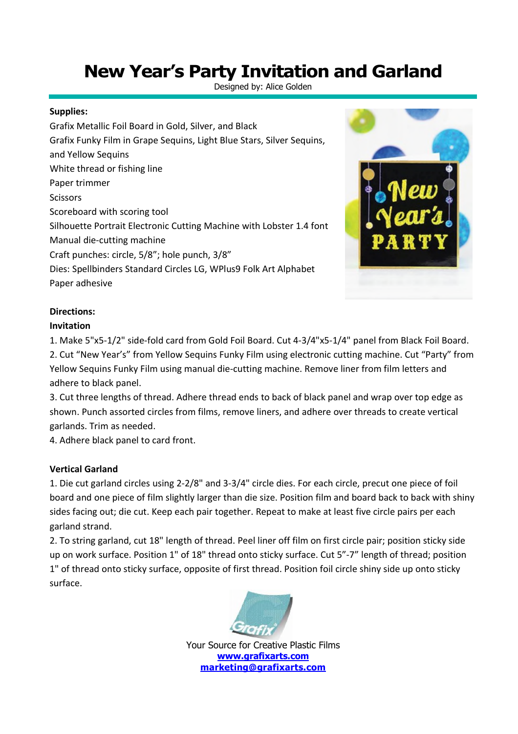# **New Year's Party Invitation and Garland**

Designed by: Alice Golden

#### **Supplies:**

Grafix Metallic Foil Board in Gold, Silver, and Black Grafix Funky Film in Grape Sequins, Light Blue Stars, Silver Sequins, and Yellow Sequins White thread or fishing line Paper trimmer **Scissors** Scoreboard with scoring tool Silhouette Portrait Electronic Cutting Machine with Lobster 1.4 font Manual die-cutting machine Craft punches: circle, 5/8"; hole punch, 3/8" Dies: Spellbinders Standard Circles LG, WPlus9 Folk Art Alphabet Paper adhesive



### **Directions:**

#### **Invitation**

1. Make 5"x5-1/2" side-fold card from Gold Foil Board. Cut 4-3/4"x5-1/4" panel from Black Foil Board. 2. Cut "New Year's" from Yellow Sequins Funky Film using electronic cutting machine. Cut "Party" from Yellow Sequins Funky Film using manual die-cutting machine. Remove liner from film letters and adhere to black panel.

3. Cut three lengths of thread. Adhere thread ends to back of black panel and wrap over top edge as shown. Punch assorted circles from films, remove liners, and adhere over threads to create vertical garlands. Trim as needed.

4. Adhere black panel to card front.

#### **Vertical Garland**

1. Die cut garland circles using 2-2/8" and 3-3/4" circle dies. For each circle, precut one piece of foil board and one piece of film slightly larger than die size. Position film and board back to back with shiny sides facing out; die cut. Keep each pair together. Repeat to make at least five circle pairs per each garland strand.

2. To string garland, cut 18" length of thread. Peel liner off film on first circle pair; position sticky side up on work surface. Position 1" of 18" thread onto sticky surface. Cut 5"-7" length of thread; position 1" of thread onto sticky surface, opposite of first thread. Position foil circle shiny side up onto sticky surface.



Your Source for Creative Plastic Films **www.grafixarts.com marketing@grafixarts.com**